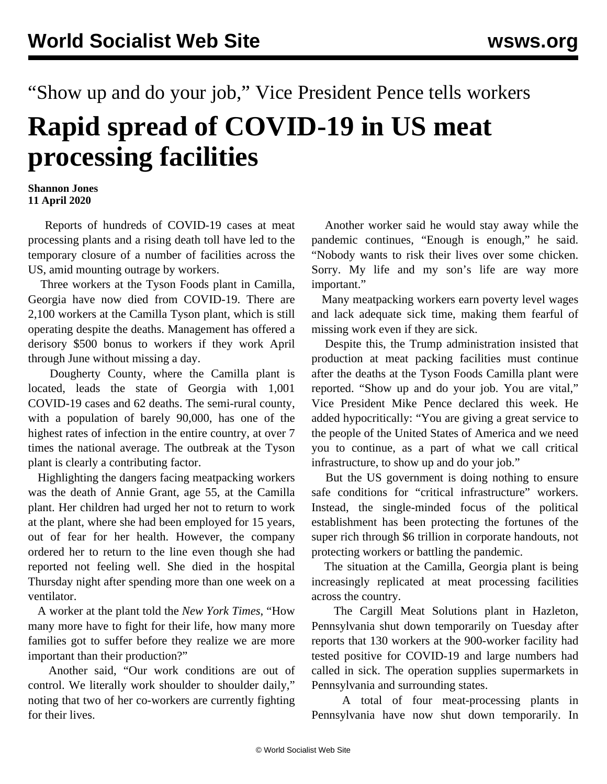## "Show up and do your job," Vice President Pence tells workers **Rapid spread of COVID-19 in US meat processing facilities**

## **Shannon Jones 11 April 2020**

 Reports of hundreds of COVID-19 cases at meat processing plants and a rising death toll have led to the temporary closure of a number of facilities across the US, amid mounting outrage by workers.

 Three workers at the Tyson Foods plant in Camilla, Georgia have now died from COVID-19. There are 2,100 workers at the Camilla Tyson plant, which is still operating despite the deaths. Management has offered a derisory \$500 bonus to workers if they work April through June without missing a day.

 Dougherty County, where the Camilla plant is located, leads the state of Georgia with 1,001 COVID-19 cases and 62 deaths. The semi-rural county, with a population of barely 90,000, has one of the highest rates of infection in the entire country, at over 7 times the national average. The outbreak at the Tyson plant is clearly a contributing factor.

 Highlighting the dangers facing meatpacking workers was the death of Annie Grant, age 55, at the Camilla plant. Her children had urged her not to return to work at the plant, where she had been employed for 15 years, out of fear for her health. However, the company ordered her to return to the line even though she had reported not feeling well. She died in the hospital Thursday night after spending more than one week on a ventilator.

 A worker at the plant told the *New York Times*, "How many more have to fight for their life, how many more families got to suffer before they realize we are more important than their production?"

 Another said, "Our work conditions are out of control. We literally work shoulder to shoulder daily," noting that two of her co-workers are currently fighting for their lives.

 Another worker said he would stay away while the pandemic continues, "Enough is enough," he said. "Nobody wants to risk their lives over some chicken. Sorry. My life and my son's life are way more important."

 Many meatpacking workers earn poverty level wages and lack adequate sick time, making them fearful of missing work even if they are sick.

 Despite this, the Trump administration insisted that production at meat packing facilities must continue after the deaths at the Tyson Foods Camilla plant were reported. "Show up and do your job. You are vital," Vice President Mike Pence declared this week. He added hypocritically: "You are giving a great service to the people of the United States of America and we need you to continue, as a part of what we call critical infrastructure, to show up and do your job."

 But the US government is doing nothing to ensure safe conditions for "critical infrastructure" workers. Instead, the single-minded focus of the political establishment has been protecting the fortunes of the super rich through \$6 trillion in corporate handouts, not protecting workers or battling the pandemic.

 The situation at the Camilla, Georgia plant is being increasingly replicated at meat processing facilities across the country.

 The Cargill Meat Solutions plant in Hazleton, Pennsylvania shut down temporarily on Tuesday after reports that 130 workers at the 900-worker facility had tested positive for COVID-19 and large numbers had called in sick. The operation supplies supermarkets in Pennsylvania and surrounding states.

 A total of four meat-processing plants in Pennsylvania have now shut down temporarily. In